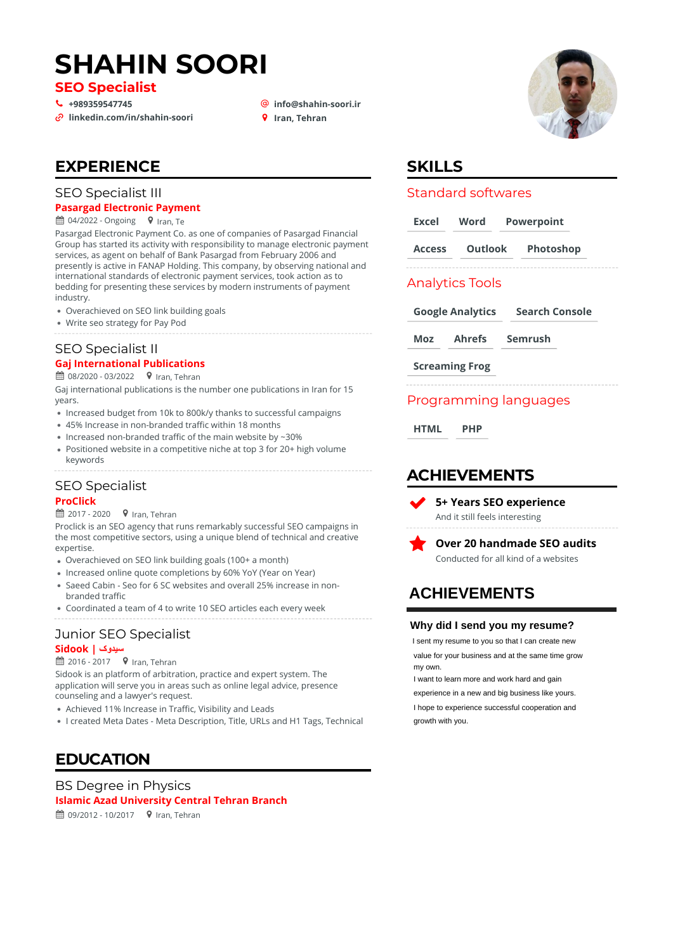# **SHAHIN SOORI**

**SEO Specialist**

# **[+989359547745](tel:+989359547745)** \_ **[info@shahin-soori.ir](mailto:info@shahin-soori.ir)** + **Iran, Tehran linkedin.com/in/shahin-soori**

- 
- 

### **EXPERIENCE**

#### SEO Specialist III

#### **Pasargad Electronic Payment**

 $\mathbf{\hat{H}}$  04/2022 - Ongoing  $\mathbf{\hat{V}}$  Iran, Te

Pasargad Electronic Payment Co. as one of companies of Pasargad Financial Group has started its activity with responsibility to manage electronic payment services, as agent on behalf of Bank Pasargad from February 2006 and presently is active in FANAP Holding. This company, by observing national and international standards of electronic payment services, took action as to bedding for presenting these services by modern instruments of payment industry.

- Overachieved on SEO link building goals
- Write seo strategy for Pay Pod

#### SEO Specialist II **Gaj International Publications**

 $\hat{H}$  08/2020 - 03/2022  $\bullet$  Iran, Tehran

Gaj international publications is the number one publications in Iran for 15 years.

- Increased budget from 10k to 800k/y thanks to successful campaigns
- 45% Increase in non-branded traffic within 18 months
- Increased non-branded traffic of the main website by  $\sim$ 30%
- Positioned website in a competitive niche at top 3 for 20+ high volume keywords

### SEO Specialist

#### **ProClick**

 $\hat{p}$  2017 - 2020  $\bullet$  Iran, Tehran

Proclick is an SEO agency that runs remarkably successful SEO campaigns in the most competitive sectors, using a unique blend of technical and creative expertise.

- Overachieved on SEO link building goals (100+ a month)
- Increased online quote completions by 60% YoY (Year on Year)
- Saeed Cabin Seo for 6 SC websites and overall 25% increase in nonbranded traffic
- Coordinated a team of 4 to write 10 SEO articles each every week

# Junior SEO Specialist

### **سیدوک | Sidook**

 $\hat{=}$  2016 - 2017  $\bullet$  Iran, Tehran

application will serve you in areas such as online legal advice, presence counseling and a lawyer's request. Sidook is an platform of arbitration, practice and expert system. The

- Achieved 11% Increase in Traffic, Visibility and Leads
- I created Meta Dates Meta Description, Title, URLs and H1 Tags, Technical

### **EDUCATION**

 $\hat{H}$  09/2012 - 10/2017  $\bullet$  Iran, Tehran BS Degree in Physics **Islamic Azad University Central Tehran Branch**



### **SKILLS**

#### Standard softwares

| Excel           | Word                    | <b>Powerpoint</b>     |
|-----------------|-------------------------|-----------------------|
| <b>Access</b>   |                         | Outlook Photoshop     |
| Analytics Tools |                         |                       |
|                 | <b>Google Analytics</b> | <b>Search Console</b> |

**Moz Ahrefs Semrush**

**Screaming Frog**

### Programming languages

**HTML PHP**

### **ACHIEVEMENTS**

 $\blacktriangledown$ **5+ Years SEO experience** And it still feels interesting



**Over 20 handmade SEO audits** Conducted for all kind of a websites

# **ACHIEVEMENTS**

#### **Why did I send you my resume?**

I sent my resume to you so that I can create new value for your business and at the same time grow my own.

I want to learn more and work hard and gain experience in a new and big business like yours. I hope to experience successful cooperation and growth with you.